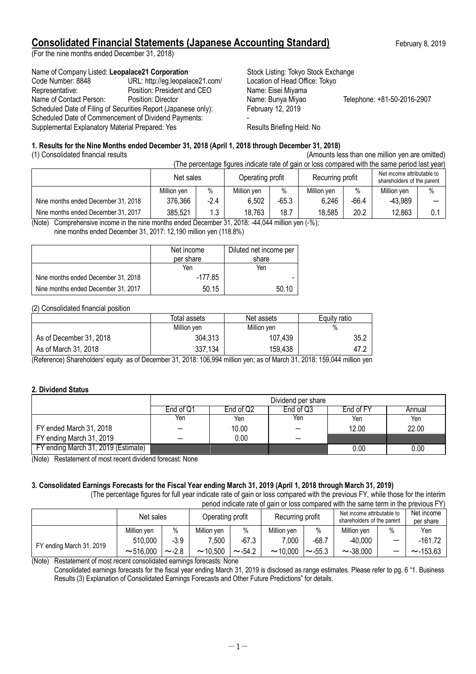# **Consolidated Financial Statements (Japanese Accounting Standard)** February 8, 2019

(For the nine months ended December 31, 2018)

### Name of Company Listed: Leopalace21 Corporation **Stock Listing: Tokyo Stock Exchange**

| Code Number: 8848                               | URL: http://eg.leopalace21.com/                                | Location of Head Office: Tokyo |                             |
|-------------------------------------------------|----------------------------------------------------------------|--------------------------------|-----------------------------|
| Representative:                                 | Position: President and CEO                                    | Name: Eisei Miyama             |                             |
| Name of Contact Person:                         | Position: Director                                             | Name: Bunya Miyao              | Telephone: +81-50-2016-2907 |
|                                                 | Scheduled Date of Filing of Securities Report (Japanese only): | February 12, 2019              |                             |
|                                                 | Scheduled Date of Commencement of Dividend Payments:           |                                |                             |
| Supplemental Explanatory Material Prepared: Yes |                                                                | Results Briefing Held: No      |                             |
|                                                 |                                                                |                                |                             |

### **1. Results for the Nine Months ended December 31, 2018 (April 1, 2018 through December 31, 2018)**

(1) Consolidated financial results (Amounts less than one million yen are omitted)

| (The percentage figures indicate rate of gain or loss compared with the same period last year) |             |        |                  |       |                  |         |                                                          |      |
|------------------------------------------------------------------------------------------------|-------------|--------|------------------|-------|------------------|---------|----------------------------------------------------------|------|
|                                                                                                | Net sales   |        | Operating profit |       | Recurring profit |         | Net income attributable to<br>shareholders of the parent |      |
|                                                                                                | Million yen | $\%$   | Million yen      | $\%$  | Million ven      | $\%$    | Million yen                                              | $\%$ |
| Nine months ended December 31, 2018                                                            | 376,366     | $-2.4$ | 6,502            | -65.3 | 6,246            | $-66.4$ | -43,989                                                  |      |
| Nine months ended December 31, 2017                                                            | 385,521     | 1.3    | 18.763           | 18.7  | 18,585           | 20.2    | 12,863                                                   | 0.   |

(Note) Comprehensive income in the nine months ended December 31, 2018: -44,044 million yen (-%);

nine months ended December 31, 2017: 12,190 million yen (118.8%)

|                                     | Net income | Diluted net income per |
|-------------------------------------|------------|------------------------|
|                                     | per share  | share                  |
|                                     | Yen        | Yen                    |
| Nine months ended December 31, 2018 | -177.85    |                        |
| Nine months ended December 31, 2017 | 50.15      | 50.10                  |

(2) Consolidated financial position

|                         | Total assets | Net assets  | Equity ratio |
|-------------------------|--------------|-------------|--------------|
|                         | Million ven  | Million yen | %            |
| As of December 31, 2018 | 304,313      | 107,439     | 35.2         |
| As of March 31, 2018    | 337,134      | 159,438     | 47.2         |

(Reference) Shareholders' equity as of December 31, 2018: 106,994 million yen; as of March 31, 2018: 159,044 million yen

### **2. Dividend Status**

|                                     | Dividend per share |                                               |     |       |       |  |  |  |  |
|-------------------------------------|--------------------|-----------------------------------------------|-----|-------|-------|--|--|--|--|
|                                     | End of Q1          | End of Q3<br>End of Q2<br>End of FY<br>Annual |     |       |       |  |  |  |  |
|                                     | Yen                | Yen                                           | Yen | Yen   | Yen   |  |  |  |  |
| FY ended March 31, 2018             |                    | 10.00                                         |     | 12.00 | 22.00 |  |  |  |  |
| FY ending March 31, 2019            |                    | 0.00                                          |     |       |       |  |  |  |  |
| FY ending March 31, 2019 (Estimate) |                    |                                               |     | 0.00  | 0.00  |  |  |  |  |

(Note) Restatement of most recent dividend forecast: None

# **3. Consolidated Earnings Forecasts for the Fiscal Year ending March 31, 2019 (April 1, 2018 through March 31, 2019)**

(The percentage figures for full year indicate rate of gain or loss compared with the previous FY, while those for the interim

| period indicate rate of gain or loss compared with the same term in the previous FY) |             |            |                                                                                                  |              |             |              |                |                          |                |
|--------------------------------------------------------------------------------------|-------------|------------|--------------------------------------------------------------------------------------------------|--------------|-------------|--------------|----------------|--------------------------|----------------|
|                                                                                      | Net sales   |            | Net income attributable to<br>Recurring profit<br>Operating profit<br>shareholders of the parent |              |             |              |                | Net income<br>per share  |                |
|                                                                                      | Million yen | $\%$       | Million ven                                                                                      | $\%$         | Million ven | $\%$         | Million yen    | $\%$                     | Yen            |
|                                                                                      | 510,000     | $-3.9$     | 7.500                                                                                            | $-67.3$      | 7.000       | $-68.7$      | $-40,000$      | $\overline{\phantom{0}}$ | $-161.72$      |
| FY ending March 31, 2019<br>$\cdots$                                                 | ~16.000     | $\sim$ 2.8 | ~10.500                                                                                          | $\sim$ -54.2 | ~10.000     | $\sim$ -55.3 | $\sim$ -38.000 | -                        | $\sim$ -153.63 |

(Note) Restatement of most recent consolidated earnings forecasts: None

Consolidated earnings forecasts for the fiscal year ending March 31, 2019 is disclosed as range estimates. Please refer to pg. 6 "1. Business Results (3) Explanation of Consolidated Earnings Forecasts and Other Future Predictions" for details.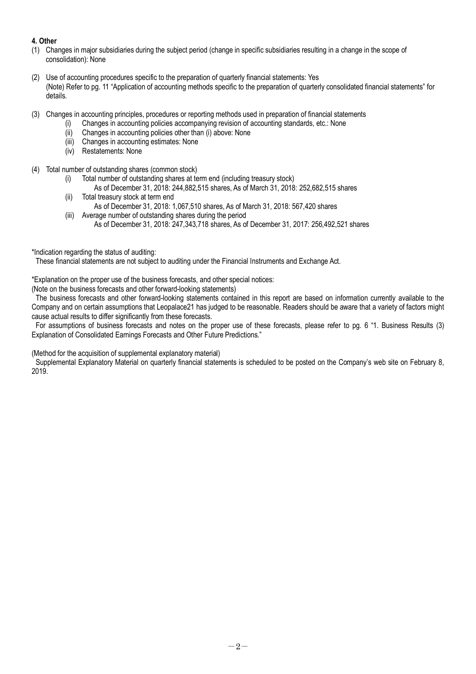### **4. Other**

- (1) Changes in major subsidiaries during the subject period (change in specific subsidiaries resulting in a change in the scope of consolidation): None
- (2) Use of accounting procedures specific to the preparation of quarterly financial statements: Yes (Note) Refer to pg. 11 "Application of accounting methods specific to the preparation of quarterly consolidated financial statements" for details.
- (3) Changes in accounting principles, procedures or reporting methods used in preparation of financial statements
	- (i) Changes in accounting policies accompanying revision of accounting standards, etc.: None
		- (ii) Changes in accounting policies other than (i) above: None
		- (iii) Changes in accounting estimates: None
		- (iv) Restatements: None
- (4) Total number of outstanding shares (common stock)
	- (i) Total number of outstanding shares at term end (including treasury stock)
		- As of December 31, 2018: 244,882,515 shares, As of March 31, 2018: 252,682,515 shares
	- (ii) Total treasury stock at term end As of December 31, 2018: 1,067,510 shares, As of March 31, 2018: 567,420 shares
	- (iii) Average number of outstanding shares during the period As of December 31, 2018: 247,343,718 shares, As of December 31, 2017: 256,492,521 shares
- \*Indication regarding the status of auditing:

These financial statements are not subject to auditing under the Financial Instruments and Exchange Act.

\*Explanation on the proper use of the business forecasts, and other special notices:

(Note on the business forecasts and other forward-looking statements)

The business forecasts and other forward-looking statements contained in this report are based on information currently available to the Company and on certain assumptions that Leopalace21 has judged to be reasonable. Readers should be aware that a variety of factors might cause actual results to differ significantly from these forecasts.

For assumptions of business forecasts and notes on the proper use of these forecasts, please refer to pg. 6 "1. Business Results (3) Explanation of Consolidated Earnings Forecasts and Other Future Predictions."

(Method for the acquisition of supplemental explanatory material)

Supplemental Explanatory Material on quarterly financial statements is scheduled to be posted on the Company's web site on February 8, 2019.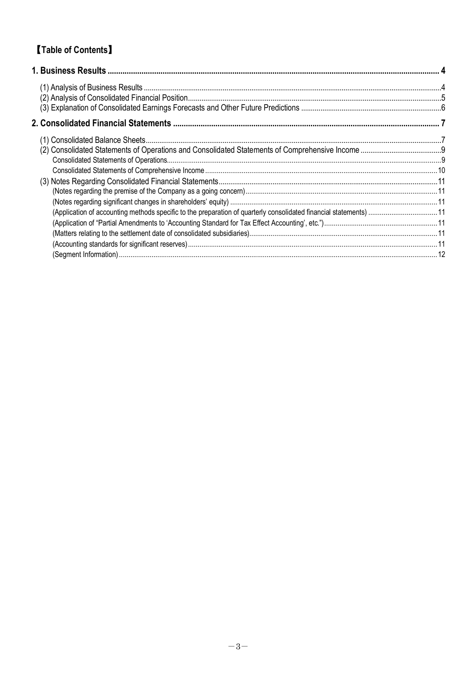# 【**Table of Contents**】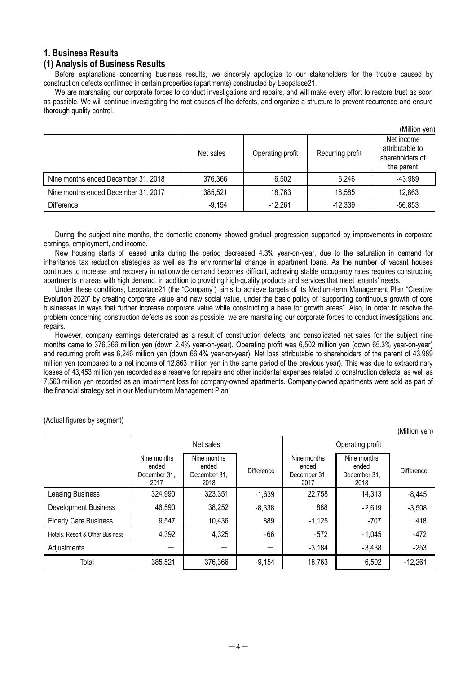### **1. Business Results**

### **(1) Analysis of Business Results**

Before explanations concerning business results, we sincerely apologize to our stakeholders for the trouble caused by construction defects confirmed in certain properties (apartments) constructed by Leopalace21.

We are marshaling our corporate forces to conduct investigations and repairs, and will make every effort to restore trust as soon as possible. We will continue investigating the root causes of the defects, and organize a structure to prevent recurrence and ensure thorough quality control.

|                                     |           |                  |                  | (Million yen)                                                  |
|-------------------------------------|-----------|------------------|------------------|----------------------------------------------------------------|
|                                     | Net sales | Operating profit | Recurring profit | Net income<br>attributable to<br>shareholders of<br>the parent |
| Nine months ended December 31, 2018 | 376,366   | 6,502            | 6,246            | $-43,989$                                                      |
| Nine months ended December 31, 2017 | 385,521   | 18,763           | 18,585           | 12,863                                                         |
| <b>Difference</b>                   | $-9,154$  | $-12,261$        | $-12,339$        | $-56,853$                                                      |

During the subject nine months, the domestic economy showed gradual progression supported by improvements in corporate earnings, employment, and income.

New housing starts of leased units during the period decreased 4.3% year-on-year, due to the saturation in demand for inheritance tax reduction strategies as well as the environmental change in apartment loans. As the number of vacant houses continues to increase and recovery in nationwide demand becomes difficult, achieving stable occupancy rates requires constructing apartments in areas with high demand, in addition to providing high-quality products and services that meet tenants' needs.

Under these conditions, Leopalace21 (the "Company") aims to achieve targets of its Medium-term Management Plan "Creative Evolution 2020" by creating corporate value and new social value, under the basic policy of "supporting continuous growth of core businesses in ways that further increase corporate value while constructing a base for growth areas". Also, in order to resolve the problem concerning construction defects as soon as possible, we are marshaling our corporate forces to conduct investigations and repairs.

However, company earnings deteriorated as a result of construction defects, and consolidated net sales for the subject nine months came to 376,366 million yen (down 2.4% year-on-year). Operating profit was 6,502 million yen (down 65.3% year-on-year) and recurring profit was 6,246 million yen (down 66.4% year-on-year). Net loss attributable to shareholders of the parent of 43,989 million yen (compared to a net income of 12,863 million yen in the same period of the previous year). This was due to extraordinary losses of 43,453 million yen recorded as a reserve for repairs and other incidental expenses related to construction defects, as well as 7,560 million yen recorded as an impairment loss for company-owned apartments. Company-owned apartments were sold as part of the financial strategy set in our Medium-term Management Plan.

(Actual figures by segment)

(Million yen)

|                                 | Net sales                                    |                                              |            | Operating profit                             |                                              |                   |  |
|---------------------------------|----------------------------------------------|----------------------------------------------|------------|----------------------------------------------|----------------------------------------------|-------------------|--|
|                                 | Nine months<br>ended<br>December 31,<br>2017 | Nine months<br>ended<br>December 31.<br>2018 | Difference | Nine months<br>ended<br>December 31.<br>2017 | Nine months<br>ended<br>December 31,<br>2018 | <b>Difference</b> |  |
| Leasing Business                | 324,990                                      | 323,351                                      | $-1,639$   | 22,758                                       | 14,313                                       | $-8,445$          |  |
| <b>Development Business</b>     | 46,590                                       | 38,252                                       | $-8,338$   | 888                                          | $-2,619$                                     | $-3,508$          |  |
| <b>Elderly Care Business</b>    | 9,547                                        | 10,436                                       | 889        | $-1,125$                                     | $-707$                                       | 418               |  |
| Hotels, Resort & Other Business | 4,392                                        | 4,325                                        | $-66$      | $-572$                                       | $-1,045$                                     | $-472$            |  |
| Adjustments                     |                                              |                                              |            | $-3,184$                                     | $-3,438$                                     | $-253$            |  |
| Total                           | 385,521                                      | 376,366                                      | $-9,154$   | 18,763                                       | 6,502                                        | $-12,261$         |  |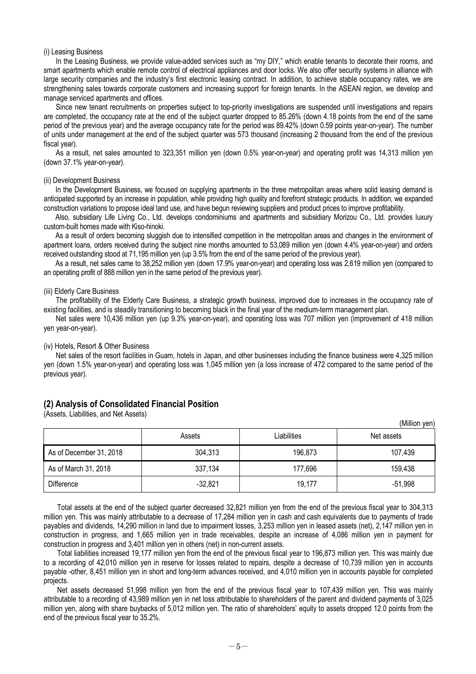#### (i) Leasing Business

In the Leasing Business, we provide value-added services such as "my DIY," which enable tenants to decorate their rooms, and smart apartments which enable remote control of electrical appliances and door locks. We also offer security systems in alliance with large security companies and the industry's first electronic leasing contract. In addition, to achieve stable occupancy rates, we are strengthening sales towards corporate customers and increasing support for foreign tenants. In the ASEAN region, we develop and manage serviced apartments and offices.

Since new tenant recruitments on properties subject to top-priority investigations are suspended until investigations and repairs are completed, the occupancy rate at the end of the subject quarter dropped to 85.26% (down 4.18 points from the end of the same period of the previous year) and the average occupancy rate for the period was 89.42% (down 0.59 points year-on-year). The number of units under management at the end of the subject quarter was 573 thousand (increasing 2 thousand from the end of the previous fiscal year).

As a result, net sales amounted to 323,351 million yen (down 0.5% year-on-year) and operating profit was 14,313 million yen (down 37.1% year-on-year).

#### (ii) Development Business

In the Development Business, we focused on supplying apartments in the three metropolitan areas where solid leasing demand is anticipated supported by an increase in population, while providing high quality and forefront strategic products. In addition, we expanded construction variations to propose ideal land use, and have begun reviewing suppliers and product prices to improve profitability.

Also, subsidiary Life Living Co., Ltd. develops condominiums and apartments and subsidiary Morizou Co., Ltd. provides luxury custom-built homes made with Kiso-hinoki.

As a result of orders becoming sluggish due to intensified competition in the metropolitan areas and changes in the environment of apartment loans, orders received during the subject nine months amounted to 53,089 million yen (down 4.4% year-on-year) and orders received outstanding stood at 71,195 million yen (up 3.5% from the end of the same period of the previous year).

As a result, net sales came to 38,252 million yen (down 17.9% year-on-year) and operating loss was 2,619 million yen (compared to an operating profit of 888 million yen in the same period of the previous year).

#### (iii) Elderly Care Business

The profitability of the Elderly Care Business, a strategic growth business, improved due to increases in the occupancy rate of existing facilities, and is steadily transitioning to becoming black in the final year of the medium-term management plan.

Net sales were 10,436 million yen (up 9.3% year-on-year), and operating loss was 707 million yen (improvement of 418 million yen year-on-year).

### (iv) Hotels, Resort & Other Business

Net sales of the resort facilities in Guam, hotels in Japan, and other businesses including the finance business were 4,325 million yen (down 1.5% year-on-year) and operating loss was 1,045 million yen (a loss increase of 472 compared to the same period of the previous year).

#### **(2) Analysis of Consolidated Financial Position**

(Assets, Liabilities, and Net Assets)

|                         | Assets    | Liabilities | (IVIIIIION YEN)<br>Net assets |
|-------------------------|-----------|-------------|-------------------------------|
| As of December 31, 2018 | 304,313   | 196,873     | 107,439                       |
| As of March 31, 2018    | 337,134   | 177,696     | 159,438                       |
| <b>Difference</b>       | $-32,821$ | 19,177      | $-51,998$                     |

 $(M)$ llion yen)

Total assets at the end of the subject quarter decreased 32,821 million yen from the end of the previous fiscal year to 304,313 million yen. This was mainly attributable to a decrease of 17,284 million yen in cash and cash equivalents due to payments of trade payables and dividends, 14,290 million in land due to impairment losses, 3,253 million yen in leased assets (net), 2,147 million yen in construction in progress, and 1,665 million yen in trade receivables, despite an increase of 4,086 million yen in payment for construction in progress and 3,401 million yen in others (net) in non-current assets.

Total liabilities increased 19,177 million yen from the end of the previous fiscal year to 196,873 million yen. This was mainly due to a recording of 42,010 million yen in reserve for losses related to repairs, despite a decrease of 10,739 million yen in accounts payable -other, 8,451 million yen in short and long-term advances received, and 4,010 million yen in accounts payable for completed projects.

Net assets decreased 51,998 million yen from the end of the previous fiscal year to 107,439 million yen. This was mainly attributable to a recording of 43,989 million yen in net loss attributable to shareholders of the parent and dividend payments of 3,025 million yen, along with share buybacks of 5,012 million yen. The ratio of shareholders' equity to assets dropped 12.0 points from the end of the previous fiscal year to 35.2%.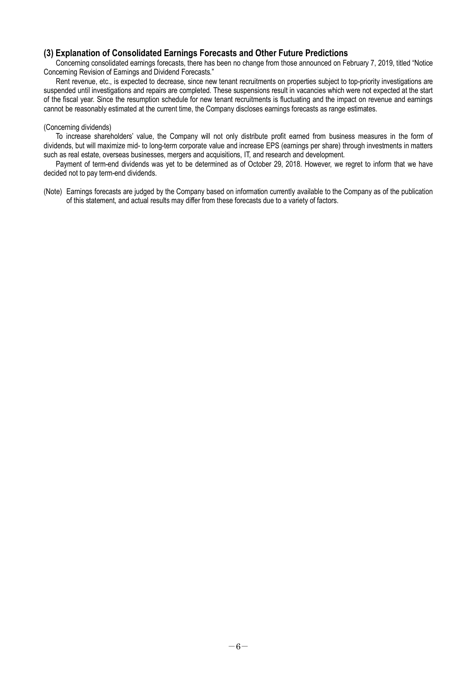### **(3) Explanation of Consolidated Earnings Forecasts and Other Future Predictions**

Concerning consolidated earnings forecasts, there has been no change from those announced on February 7, 2019, titled "Notice Concerning Revision of Earnings and Dividend Forecasts."

Rent revenue, etc., is expected to decrease, since new tenant recruitments on properties subject to top-priority investigations are suspended until investigations and repairs are completed. These suspensions result in vacancies which were not expected at the start of the fiscal year. Since the resumption schedule for new tenant recruitments is fluctuating and the impact on revenue and earnings cannot be reasonably estimated at the current time, the Company discloses earnings forecasts as range estimates.

#### (Concerning dividends)

To increase shareholders' value, the Company will not only distribute profit earned from business measures in the form of dividends, but will maximize mid- to long-term corporate value and increase EPS (earnings per share) through investments in matters such as real estate, overseas businesses, mergers and acquisitions, IT, and research and development.

Payment of term-end dividends was yet to be determined as of October 29, 2018. However, we regret to inform that we have decided not to pay term-end dividends.

(Note) Earnings forecasts are judged by the Company based on information currently available to the Company as of the publication of this statement, and actual results may differ from these forecasts due to a variety of factors.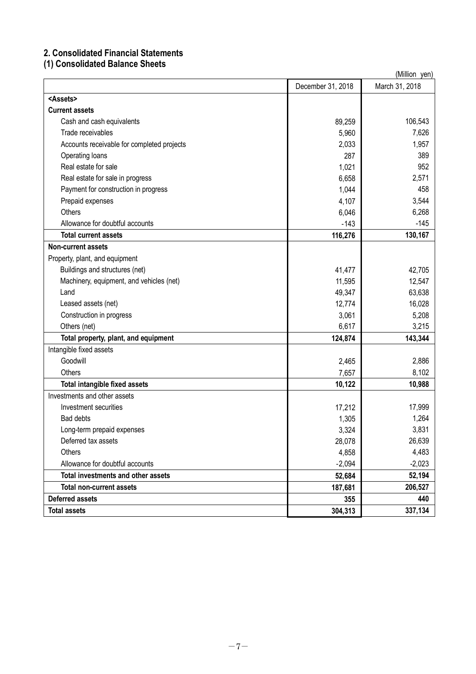# **2. Consolidated Financial Statements**

# **(1) Consolidated Balance Sheets**

| (Million yen)                              |                   |                |  |  |
|--------------------------------------------|-------------------|----------------|--|--|
|                                            | December 31, 2018 | March 31, 2018 |  |  |
| <assets></assets>                          |                   |                |  |  |
| <b>Current assets</b>                      |                   |                |  |  |
| Cash and cash equivalents                  | 89,259            | 106,543        |  |  |
| Trade receivables                          | 5,960             | 7,626          |  |  |
| Accounts receivable for completed projects | 2,033             | 1,957          |  |  |
| Operating loans                            | 287               | 389            |  |  |
| Real estate for sale                       | 1,021             | 952            |  |  |
| Real estate for sale in progress           | 6,658             | 2,571          |  |  |
| Payment for construction in progress       | 1,044             | 458            |  |  |
| Prepaid expenses                           | 4,107             | 3,544          |  |  |
| Others                                     | 6,046             | 6,268          |  |  |
| Allowance for doubtful accounts            | $-143$            | $-145$         |  |  |
| <b>Total current assets</b>                | 116,276           | 130,167        |  |  |
| <b>Non-current assets</b>                  |                   |                |  |  |
| Property, plant, and equipment             |                   |                |  |  |
| Buildings and structures (net)             | 41,477            | 42,705         |  |  |
| Machinery, equipment, and vehicles (net)   | 11,595            | 12,547         |  |  |
| Land                                       | 49,347            | 63,638         |  |  |
| Leased assets (net)                        | 12,774            | 16,028         |  |  |
| Construction in progress                   | 3,061             | 5,208          |  |  |
| Others (net)                               | 6,617             | 3,215          |  |  |
| Total property, plant, and equipment       | 124,874           | 143,344        |  |  |
| Intangible fixed assets                    |                   |                |  |  |
| Goodwill                                   | 2,465             | 2,886          |  |  |
| Others                                     | 7,657             | 8,102          |  |  |
| Total intangible fixed assets              | 10,122            | 10,988         |  |  |
| Investments and other assets               |                   |                |  |  |
| Investment securities                      | 17,212            | 17,999         |  |  |
| Bad debts                                  | 1,305             | 1,264          |  |  |
| Long-term prepaid expenses                 | 3,324             | 3,831          |  |  |
| Deferred tax assets                        | 28,078            | 26,639         |  |  |
| Others                                     | 4,858             | 4,483          |  |  |
| Allowance for doubtful accounts            | $-2,094$          | $-2,023$       |  |  |
| Total investments and other assets         | 52,684            | 52,194         |  |  |
| <b>Total non-current assets</b>            | 187,681           | 206,527        |  |  |
| <b>Deferred assets</b>                     | 355               | 440            |  |  |
| <b>Total assets</b>                        | 304,313           | 337,134        |  |  |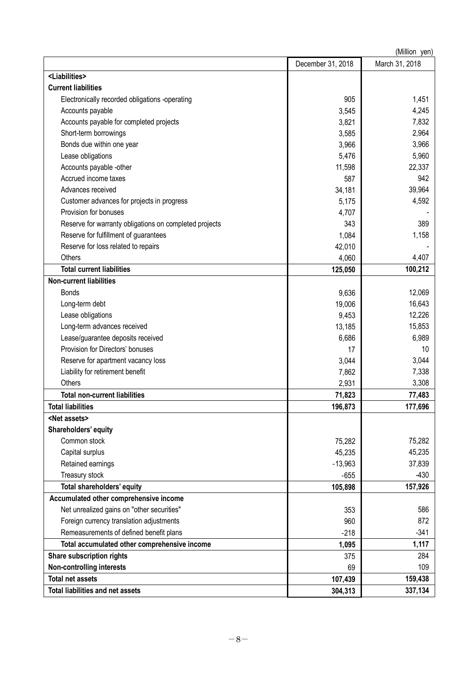|                                                        |                   | (Million yen)  |
|--------------------------------------------------------|-------------------|----------------|
|                                                        | December 31, 2018 | March 31, 2018 |
| <liabilities></liabilities>                            |                   |                |
| <b>Current liabilities</b>                             |                   |                |
| Electronically recorded obligations -operating         | 905               | 1,451          |
| Accounts payable                                       | 3,545             | 4,245          |
| Accounts payable for completed projects                | 3,821             | 7,832          |
| Short-term borrowings                                  | 3,585             | 2,964          |
| Bonds due within one year                              | 3,966             | 3,966          |
| Lease obligations                                      | 5,476             | 5,960          |
| Accounts payable -other                                | 11,598            | 22,337         |
| Accrued income taxes                                   | 587               | 942            |
| Advances received                                      | 34,181            | 39,964         |
| Customer advances for projects in progress             | 5,175             | 4,592          |
| Provision for bonuses                                  | 4,707             |                |
| Reserve for warranty obligations on completed projects | 343               | 389            |
| Reserve for fulfillment of guarantees                  | 1,084             | 1,158          |
| Reserve for loss related to repairs                    | 42,010            |                |
| Others                                                 | 4,060             | 4,407          |
| <b>Total current liabilities</b>                       | 125,050           | 100,212        |
| <b>Non-current liabilities</b>                         |                   |                |
| <b>Bonds</b>                                           | 9,636             | 12,069         |
| Long-term debt                                         | 19,006            | 16,643         |
| Lease obligations                                      | 9,453             | 12,226         |
| Long-term advances received                            | 13,185            | 15,853         |
| Lease/guarantee deposits received                      | 6,686             | 6,989          |
| Provision for Directors' bonuses                       | 17                | 10             |
| Reserve for apartment vacancy loss                     | 3,044             | 3,044          |
| Liability for retirement benefit                       | 7,862             | 7,338          |
| Others                                                 | 2,931             | 3,308          |
| <b>Total non-current liabilities</b>                   | 71,823            | 77,483         |
| <b>Total liabilities</b>                               | 196,873           | 177,696        |
| <net assets=""></net>                                  |                   |                |
| Shareholders' equity                                   |                   |                |
| Common stock                                           | 75,282            | 75,282         |
| Capital surplus                                        | 45,235            | 45,235         |
| Retained earnings                                      | $-13,963$         | 37,839         |
| Treasury stock                                         | $-655$            | $-430$         |
| Total shareholders' equity                             | 105,898           | 157,926        |
| Accumulated other comprehensive income                 |                   |                |
| Net unrealized gains on "other securities"             | 353               | 586            |
| Foreign currency translation adjustments               | 960               | 872            |
| Remeasurements of defined benefit plans                | $-218$            | $-341$         |
| Total accumulated other comprehensive income           | 1,095             | 1,117          |
| Share subscription rights                              | 375               | 284            |
| <b>Non-controlling interests</b>                       | 69                | 109            |
| <b>Total net assets</b>                                | 107,439           | 159,438        |
| Total liabilities and net assets                       | 304,313           | 337,134        |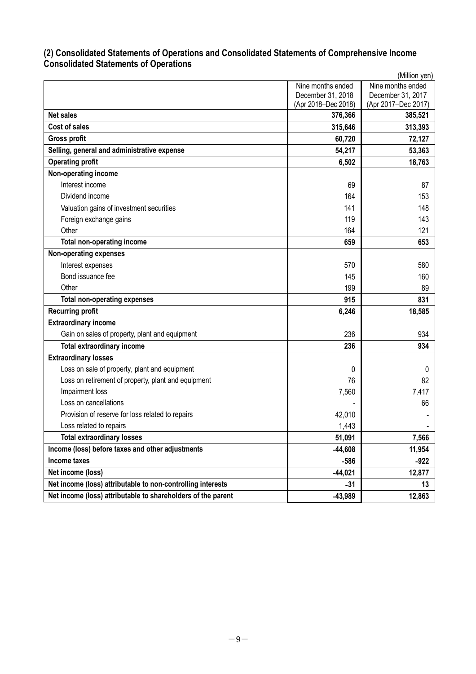## **(2) Consolidated Statements of Operations and Consolidated Statements of Comprehensive Income Consolidated Statements of Operations**

|                                                              |                     | (Million yen)       |
|--------------------------------------------------------------|---------------------|---------------------|
|                                                              | Nine months ended   | Nine months ended   |
|                                                              | December 31, 2018   | December 31, 2017   |
|                                                              | (Apr 2018-Dec 2018) | (Apr 2017-Dec 2017) |
| <b>Net sales</b>                                             | 376,366             | 385,521             |
| <b>Cost of sales</b>                                         | 315,646             | 313,393             |
| <b>Gross profit</b>                                          | 60,720              | 72,127              |
| Selling, general and administrative expense                  | 54,217              | 53,363              |
| <b>Operating profit</b>                                      | 6,502               | 18,763              |
| Non-operating income                                         |                     |                     |
| Interest income                                              | 69                  | 87                  |
| Dividend income                                              | 164                 | 153                 |
| Valuation gains of investment securities                     | 141                 | 148                 |
| Foreign exchange gains                                       | 119                 | 143                 |
| Other                                                        | 164                 | 121                 |
| <b>Total non-operating income</b>                            | 659                 | 653                 |
| <b>Non-operating expenses</b>                                |                     |                     |
| Interest expenses                                            | 570                 | 580                 |
| Bond issuance fee                                            | 145                 | 160                 |
| Other                                                        | 199                 | 89                  |
| <b>Total non-operating expenses</b>                          | 915                 | 831                 |
| <b>Recurring profit</b>                                      | 6,246               | 18,585              |
| <b>Extraordinary income</b>                                  |                     |                     |
| Gain on sales of property, plant and equipment               | 236                 | 934                 |
| <b>Total extraordinary income</b>                            | 236                 | 934                 |
| <b>Extraordinary losses</b>                                  |                     |                     |
| Loss on sale of property, plant and equipment                | 0                   | 0                   |
| Loss on retirement of property, plant and equipment          | 76                  | 82                  |
| Impairment loss                                              | 7,560               | 7,417               |
| Loss on cancellations                                        |                     | 66                  |
| Provision of reserve for loss related to repairs             | 42,010              |                     |
| Loss related to repairs                                      | 1,443               |                     |
| <b>Total extraordinary losses</b>                            | 51,091              | 7,566               |
| Income (loss) before taxes and other adjustments             | $-44,608$           | 11,954              |
| Income taxes                                                 | -586                | $-922$              |
| Net income (loss)                                            | $-44,021$           | 12,877              |
| Net income (loss) attributable to non-controlling interests  | $-31$               | 13                  |
| Net income (loss) attributable to shareholders of the parent | $-43,989$           | 12,863              |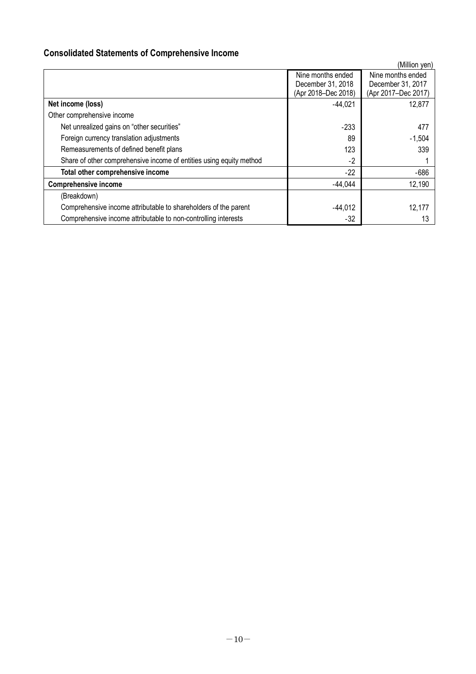# **Consolidated Statements of Comprehensive Income**

|                                                                     |                     | (Million yen)       |  |
|---------------------------------------------------------------------|---------------------|---------------------|--|
|                                                                     | Nine months ended   | Nine months ended   |  |
|                                                                     | December 31, 2018   | December 31, 2017   |  |
|                                                                     | (Apr 2018-Dec 2018) | (Apr 2017-Dec 2017) |  |
| Net income (loss)                                                   | $-44,021$           | 12,877              |  |
| Other comprehensive income                                          |                     |                     |  |
| Net unrealized gains on "other securities"                          | $-233$              | 477                 |  |
| Foreign currency translation adjustments                            | 89                  | $-1,504$            |  |
| Remeasurements of defined benefit plans                             | 123                 | 339                 |  |
| Share of other comprehensive income of entities using equity method | $-2$                |                     |  |
| Total other comprehensive income                                    | -22                 | $-686$              |  |
| <b>Comprehensive income</b>                                         | $-44,044$           | 12,190              |  |
| (Breakdown)                                                         |                     |                     |  |
| Comprehensive income attributable to shareholders of the parent     | $-44,012$           | 12.177              |  |
| Comprehensive income attributable to non-controlling interests      | $-32$               |                     |  |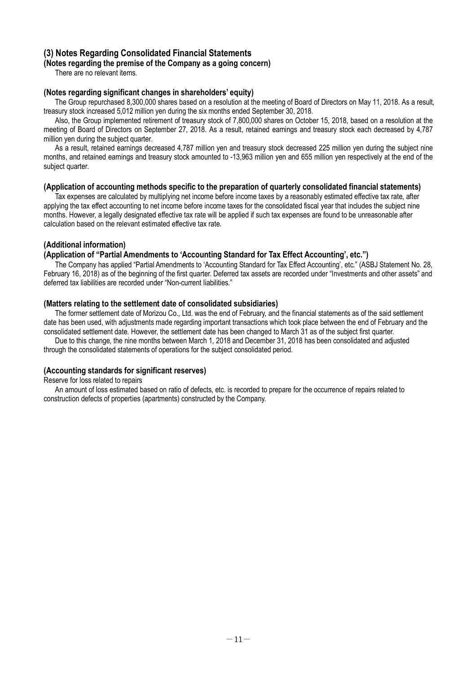### **(3) Notes Regarding Consolidated Financial Statements**

### **(Notes regarding the premise of the Company as a going concern)**

There are no relevant items.

### **(Notes regarding significant changes in shareholders' equity)**

The Group repurchased 8,300,000 shares based on a resolution at the meeting of Board of Directors on May 11, 2018. As a result, treasury stock increased 5,012 million yen during the six months ended September 30, 2018.

Also, the Group implemented retirement of treasury stock of 7,800,000 shares on October 15, 2018, based on a resolution at the meeting of Board of Directors on September 27, 2018. As a result, retained earnings and treasury stock each decreased by 4,787 million yen during the subject quarter.

As a result, retained earnings decreased 4,787 million yen and treasury stock decreased 225 million yen during the subject nine months, and retained earnings and treasury stock amounted to -13,963 million yen and 655 million yen respectively at the end of the subject quarter.

### **(Application of accounting methods specific to the preparation of quarterly consolidated financial statements)**

Tax expenses are calculated by multiplying net income before income taxes by a reasonably estimated effective tax rate, after applying the tax effect accounting to net income before income taxes for the consolidated fiscal year that includes the subject nine months. However, a legally designated effective tax rate will be applied if such tax expenses are found to be unreasonable after calculation based on the relevant estimated effective tax rate.

### **(Additional information)**

### **(Application of "Partial Amendments to 'Accounting Standard for Tax Effect Accounting', etc.")**

The Company has applied "Partial Amendments to 'Accounting Standard for Tax Effect Accounting', etc." (ASBJ Statement No. 28, February 16, 2018) as of the beginning of the first quarter. Deferred tax assets are recorded under "Investments and other assets" and deferred tax liabilities are recorded under "Non-current liabilities."

### **(Matters relating to the settlement date of consolidated subsidiaries)**

The former settlement date of Morizou Co., Ltd. was the end of February, and the financial statements as of the said settlement date has been used, with adjustments made regarding important transactions which took place between the end of February and the consolidated settlement date. However, the settlement date has been changed to March 31 as of the subject first quarter.

Due to this change, the nine months between March 1, 2018 and December 31, 2018 has been consolidated and adjusted through the consolidated statements of operations for the subject consolidated period.

### **(Accounting standards for significant reserves)**

Reserve for loss related to repairs

An amount of loss estimated based on ratio of defects, etc. is recorded to prepare for the occurrence of repairs related to construction defects of properties (apartments) constructed by the Company.